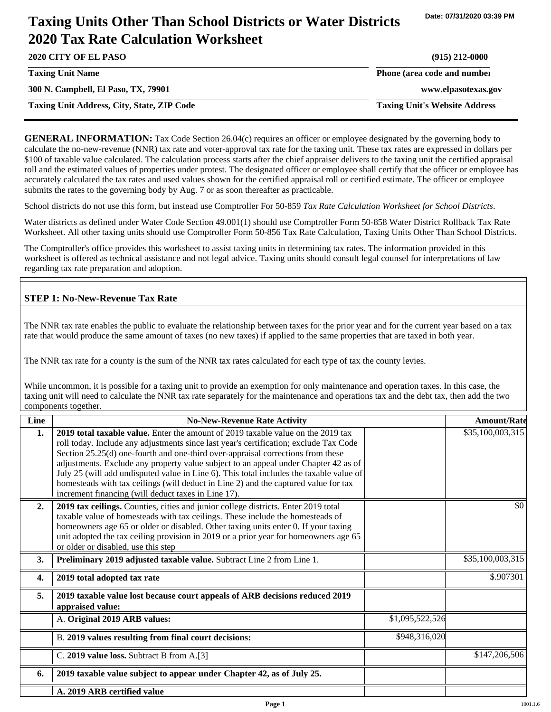# **Taxing Units Other Than School Districts or Water Districts 2020 Tax Rate Calculation Worksheet**

| 2020 CITY OF EL PASO                              | $(915)$ 212-0000                     |
|---------------------------------------------------|--------------------------------------|
| <b>Taxing Unit Name</b>                           | Phone (area code and number          |
| 300 N. Campbell, El Paso, TX, 79901               | www.elpasotexas.gov                  |
| <b>Taxing Unit Address, City, State, ZIP Code</b> | <b>Taxing Unit's Website Address</b> |

**GENERAL INFORMATION:** Tax Code Section 26.04(c) requires an officer or employee designated by the governing body to calculate the no-new-revenue (NNR) tax rate and voter-approval tax rate for the taxing unit. These tax rates are expressed in dollars per \$100 of taxable value calculated. The calculation process starts after the chief appraiser delivers to the taxing unit the certified appraisal roll and the estimated values of properties under protest. The designated officer or employee shall certify that the officer or employee has accurately calculated the tax rates and used values shown for the certified appraisal roll or certified estimate. The officer or employee submits the rates to the governing body by Aug. 7 or as soon thereafter as practicable.

School districts do not use this form, but instead use Comptroller For 50-859 *Tax Rate Calculation Worksheet for School Districts*.

Water districts as defined under Water Code Section 49.001(1) should use Comptroller Form 50-858 Water District Rollback Tax Rate Worksheet. All other taxing units should use Comptroller Form 50-856 Tax Rate Calculation, Taxing Units Other Than School Districts.

The Comptroller's office provides this worksheet to assist taxing units in determining tax rates. The information provided in this worksheet is offered as technical assistance and not legal advice. Taxing units should consult legal counsel for interpretations of law regarding tax rate preparation and adoption.

## **STEP 1: No-New-Revenue Tax Rate**

The NNR tax rate enables the public to evaluate the relationship between taxes for the prior year and for the current year based on a tax rate that would produce the same amount of taxes (no new taxes) if applied to the same properties that are taxed in both year.

The NNR tax rate for a county is the sum of the NNR tax rates calculated for each type of tax the county levies.

While uncommon, it is possible for a taxing unit to provide an exemption for only maintenance and operation taxes. In this case, the taxing unit will need to calculate the NNR tax rate separately for the maintenance and operations tax and the debt tax, then add the two components together.

| Line | <b>No-New-Revenue Rate Activity</b>                                                                                                                                                                                                                                                                                                                                                                                                                                                                                                                                                          |                 | <b>Amount/Rate</b> |
|------|----------------------------------------------------------------------------------------------------------------------------------------------------------------------------------------------------------------------------------------------------------------------------------------------------------------------------------------------------------------------------------------------------------------------------------------------------------------------------------------------------------------------------------------------------------------------------------------------|-----------------|--------------------|
| 1.   | 2019 total taxable value. Enter the amount of 2019 taxable value on the 2019 tax<br>roll today. Include any adjustments since last year's certification; exclude Tax Code<br>Section 25.25(d) one-fourth and one-third over-appraisal corrections from these<br>adjustments. Exclude any property value subject to an appeal under Chapter 42 as of<br>July 25 (will add undisputed value in Line 6). This total includes the taxable value of<br>homesteads with tax ceilings (will deduct in Line 2) and the captured value for tax<br>increment financing (will deduct taxes in Line 17). |                 | \$35,100,003,315   |
| 2.   | 2019 tax ceilings. Counties, cities and junior college districts. Enter 2019 total<br>taxable value of homesteads with tax ceilings. These include the homesteads of<br>homeowners age 65 or older or disabled. Other taxing units enter 0. If your taxing<br>unit adopted the tax ceiling provision in 2019 or a prior year for homeowners age 65<br>or older or disabled, use this step                                                                                                                                                                                                    |                 | \$0                |
| 3.   | Preliminary 2019 adjusted taxable value. Subtract Line 2 from Line 1.                                                                                                                                                                                                                                                                                                                                                                                                                                                                                                                        |                 | \$35,100,003,315   |
| 4.   | 2019 total adopted tax rate                                                                                                                                                                                                                                                                                                                                                                                                                                                                                                                                                                  |                 | \$.907301          |
| 5.   | 2019 taxable value lost because court appeals of ARB decisions reduced 2019<br>appraised value:                                                                                                                                                                                                                                                                                                                                                                                                                                                                                              |                 |                    |
|      | A. Original 2019 ARB values:                                                                                                                                                                                                                                                                                                                                                                                                                                                                                                                                                                 | \$1,095,522,526 |                    |
|      | B. 2019 values resulting from final court decisions:                                                                                                                                                                                                                                                                                                                                                                                                                                                                                                                                         | \$948,316,020   |                    |
|      | C. 2019 value loss. Subtract B from A.[3]                                                                                                                                                                                                                                                                                                                                                                                                                                                                                                                                                    |                 | \$147,206,506      |
| 6.   | 2019 taxable value subject to appear under Chapter 42, as of July 25.                                                                                                                                                                                                                                                                                                                                                                                                                                                                                                                        |                 |                    |
|      | A. 2019 ARB certified value                                                                                                                                                                                                                                                                                                                                                                                                                                                                                                                                                                  |                 |                    |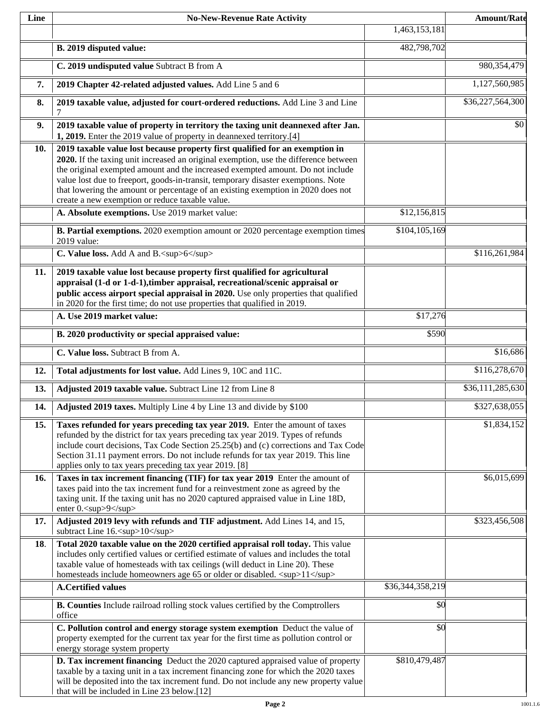| Line | <b>No-New-Revenue Rate Activity</b>                                                                                                                                                                                                                                                                                                                                                                                                                                                |                  | <b>Amount/Rate</b> |
|------|------------------------------------------------------------------------------------------------------------------------------------------------------------------------------------------------------------------------------------------------------------------------------------------------------------------------------------------------------------------------------------------------------------------------------------------------------------------------------------|------------------|--------------------|
|      |                                                                                                                                                                                                                                                                                                                                                                                                                                                                                    | 1,463,153,181    |                    |
|      | B. 2019 disputed value:                                                                                                                                                                                                                                                                                                                                                                                                                                                            | 482,798,702      |                    |
|      | C. 2019 undisputed value Subtract B from A                                                                                                                                                                                                                                                                                                                                                                                                                                         |                  | 980,354,479        |
| 7.   | 2019 Chapter 42-related adjusted values. Add Line 5 and 6                                                                                                                                                                                                                                                                                                                                                                                                                          |                  | 1,127,560,985      |
| 8.   | 2019 taxable value, adjusted for court-ordered reductions. Add Line 3 and Line<br>7                                                                                                                                                                                                                                                                                                                                                                                                |                  | \$36,227,564,300   |
| 9.   | 2019 taxable value of property in territory the taxing unit deannexed after Jan.<br>1, 2019. Enter the 2019 value of property in deannexed territory.[4]                                                                                                                                                                                                                                                                                                                           |                  | \$0                |
| 10.  | 2019 taxable value lost because property first qualified for an exemption in<br>2020. If the taxing unit increased an original exemption, use the difference between<br>the original exempted amount and the increased exempted amount. Do not include<br>value lost due to freeport, goods-in-transit, temporary disaster exemptions. Note<br>that lowering the amount or percentage of an existing exemption in 2020 does not<br>create a new exemption or reduce taxable value. |                  |                    |
|      | A. Absolute exemptions. Use 2019 market value:                                                                                                                                                                                                                                                                                                                                                                                                                                     | \$12,156,815     |                    |
|      | <b>B. Partial exemptions.</b> 2020 exemption amount or 2020 percentage exemption times<br>2019 value:                                                                                                                                                                                                                                                                                                                                                                              | \$104,105,169    |                    |
|      | C. Value loss. Add A and B. <sup>6</sup>                                                                                                                                                                                                                                                                                                                                                                                                                                           |                  | \$116,261,984      |
| 11.  | 2019 taxable value lost because property first qualified for agricultural<br>appraisal (1-d or 1-d-1), timber appraisal, recreational/scenic appraisal or<br>public access airport special appraisal in 2020. Use only properties that qualified<br>in 2020 for the first time; do not use properties that qualified in 2019.<br>A. Use 2019 market value:                                                                                                                         | \$17,276         |                    |
|      |                                                                                                                                                                                                                                                                                                                                                                                                                                                                                    | \$590            |                    |
|      | B. 2020 productivity or special appraised value:                                                                                                                                                                                                                                                                                                                                                                                                                                   |                  |                    |
|      | C. Value loss. Subtract B from A.                                                                                                                                                                                                                                                                                                                                                                                                                                                  |                  | \$16,686           |
| 12.  | Total adjustments for lost value. Add Lines 9, 10C and 11C.                                                                                                                                                                                                                                                                                                                                                                                                                        |                  | \$116,278,670      |
| 13.  | Adjusted 2019 taxable value. Subtract Line 12 from Line 8                                                                                                                                                                                                                                                                                                                                                                                                                          |                  | \$36,111,285,630   |
| 14.  | Adjusted 2019 taxes. Multiply Line 4 by Line 13 and divide by \$100                                                                                                                                                                                                                                                                                                                                                                                                                |                  | \$327,638,055      |
| 15.  | Taxes refunded for years preceding tax year 2019. Enter the amount of taxes<br>refunded by the district for tax years preceding tax year 2019. Types of refunds<br>include court decisions, Tax Code Section 25.25(b) and (c) corrections and Tax Code<br>Section 31.11 payment errors. Do not include refunds for tax year 2019. This line<br>applies only to tax years preceding tax year 2019. [8]                                                                              |                  | \$1,834,152        |
| 16.  | Taxes in tax increment financing (TIF) for tax year 2019 Enter the amount of<br>taxes paid into the tax increment fund for a reinvestment zone as agreed by the<br>taxing unit. If the taxing unit has no 2020 captured appraised value in Line 18D,<br>enter 0. <sup>9</sup>                                                                                                                                                                                                      |                  | \$6,015,699        |
| 17.  | Adjusted 2019 levy with refunds and TIF adjustment. Add Lines 14, and 15,<br>subtract Line 16. <sup>10</sup>                                                                                                                                                                                                                                                                                                                                                                       |                  | \$323,456,508      |
| 18.  | Total 2020 taxable value on the 2020 certified appraisal roll today. This value<br>includes only certified values or certified estimate of values and includes the total<br>taxable value of homesteads with tax ceilings (will deduct in Line 20). These<br>homesteads include homeowners age 65 or older or disabled. <sup>11</sup>                                                                                                                                              |                  |                    |
|      | <b>A.Certified values</b>                                                                                                                                                                                                                                                                                                                                                                                                                                                          | \$36,344,358,219 |                    |
|      | B. Counties Include railroad rolling stock values certified by the Comptroller s<br>office                                                                                                                                                                                                                                                                                                                                                                                         | \$0              |                    |
|      | C. Pollution control and energy storage system exemption Deduct the value of<br>property exempted for the current tax year for the first time as pollution control or<br>energy storage system property                                                                                                                                                                                                                                                                            | \$0              |                    |
|      | D. Tax increment financing Deduct the 2020 captured appraised value of property<br>taxable by a taxing unit in a tax increment financing zone for which the 2020 taxes<br>will be deposited into the tax increment fund. Do not include any new property value<br>that will be included in Line 23 below.[12]                                                                                                                                                                      | \$810,479,487    |                    |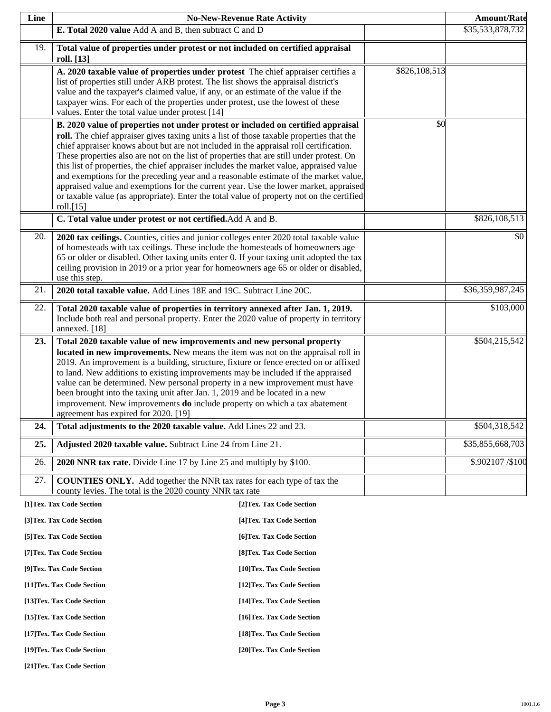| Line |                                                                                                                                                                                                                                                                                                                                                                                                                                                                                                                                                                                                                                                                                                                                                           | <b>No-New-Revenue Rate Activity</b> |               | <b>Amount/Rate</b> |
|------|-----------------------------------------------------------------------------------------------------------------------------------------------------------------------------------------------------------------------------------------------------------------------------------------------------------------------------------------------------------------------------------------------------------------------------------------------------------------------------------------------------------------------------------------------------------------------------------------------------------------------------------------------------------------------------------------------------------------------------------------------------------|-------------------------------------|---------------|--------------------|
|      | E. Total 2020 value Add A and B, then subtract C and D                                                                                                                                                                                                                                                                                                                                                                                                                                                                                                                                                                                                                                                                                                    |                                     |               | \$35,533,878,732   |
| 19.  | Total value of properties under protest or not included on certified appraisal<br>roll. [13]                                                                                                                                                                                                                                                                                                                                                                                                                                                                                                                                                                                                                                                              |                                     |               |                    |
|      | A. 2020 taxable value of properties under protest The chief appraiser certifies a<br>list of properties still under ARB protest. The list shows the appraisal district's<br>value and the taxpayer's claimed value, if any, or an estimate of the value if the<br>taxpayer wins. For each of the properties under protest, use the lowest of these<br>values. Enter the total value under protest [14]                                                                                                                                                                                                                                                                                                                                                    |                                     | \$826,108,513 |                    |
|      | B. 2020 value of properties not under protest or included on certified appraisal<br>roll. The chief appraiser gives taxing units a list of those taxable properties that the<br>chief appraiser knows about but are not included in the appraisal roll certification.<br>These properties also are not on the list of properties that are still under protest. On<br>this list of properties, the chief appraiser includes the market value, appraised value<br>and exemptions for the preceding year and a reasonable estimate of the market value,<br>appraised value and exemptions for the current year. Use the lower market, appraised<br>or taxable value (as appropriate). Enter the total value of property not on the certified<br>roll. $[15]$ |                                     | \$0           |                    |
|      | C. Total value under protest or not certified. Add A and B.                                                                                                                                                                                                                                                                                                                                                                                                                                                                                                                                                                                                                                                                                               |                                     |               | \$826,108,513      |
| 20.  | 2020 tax ceilings. Counties, cities and junior colleges enter 2020 total taxable value<br>of homesteads with tax ceilings. These include the homesteads of homeowners age<br>65 or older or disabled. Other taxing units enter 0. If your taxing unit adopted the tax<br>ceiling provision in 2019 or a prior year for homeowners age 65 or older or disabled,<br>use this step.                                                                                                                                                                                                                                                                                                                                                                          |                                     |               | \$0                |
| 21.  | 2020 total taxable value. Add Lines 18E and 19C. Subtract Line 20C.                                                                                                                                                                                                                                                                                                                                                                                                                                                                                                                                                                                                                                                                                       |                                     |               | \$36,359,987,245   |
| 22.  | Total 2020 taxable value of properties in territory annexed after Jan. 1, 2019.<br>Include both real and personal property. Enter the 2020 value of property in territory<br>annexed. [18]                                                                                                                                                                                                                                                                                                                                                                                                                                                                                                                                                                |                                     |               | \$103,000          |
| 23.  | Total 2020 taxable value of new improvements and new personal property<br>located in new improvements. New means the item was not on the appraisal roll in<br>2019. An improvement is a building, structure, fixture or fence erected on or affixed<br>to land. New additions to existing improvements may be included if the appraised<br>value can be determined. New personal property in a new improvement must have<br>been brought into the taxing unit after Jan. 1, 2019 and be located in a new<br>improvement. New improvements do include property on which a tax abatement<br>agreement has expired for 2020. [19]                                                                                                                            |                                     |               | \$504,215,542      |
| 24.  | Total adjustments to the 2020 taxable value. Add Lines 22 and 23.                                                                                                                                                                                                                                                                                                                                                                                                                                                                                                                                                                                                                                                                                         |                                     |               | \$504,318,542      |
| 25.  | Adjusted 2020 taxable value. Subtract Line 24 from Line 21.                                                                                                                                                                                                                                                                                                                                                                                                                                                                                                                                                                                                                                                                                               |                                     |               | \$35,855,668,703   |
| 26.  | 2020 NNR tax rate. Divide Line 17 by Line 25 and multiply by \$100.                                                                                                                                                                                                                                                                                                                                                                                                                                                                                                                                                                                                                                                                                       |                                     |               | \$.902107 / \$100  |
| 27.  | <b>COUNTIES ONLY.</b> Add together the NNR tax rates for each type of tax the<br>county levies. The total is the 2020 county NNR tax rate                                                                                                                                                                                                                                                                                                                                                                                                                                                                                                                                                                                                                 |                                     |               |                    |
|      | [1]Tex. Tax Code Section                                                                                                                                                                                                                                                                                                                                                                                                                                                                                                                                                                                                                                                                                                                                  | [2]Tex. Tax Code Section            |               |                    |
|      | [3] Tex. Tax Code Section                                                                                                                                                                                                                                                                                                                                                                                                                                                                                                                                                                                                                                                                                                                                 | [4] Tex. Tax Code Section           |               |                    |
|      | [5] Tex. Tax Code Section                                                                                                                                                                                                                                                                                                                                                                                                                                                                                                                                                                                                                                                                                                                                 | [6]Tex. Tax Code Section            |               |                    |
|      | [7] Tex. Tax Code Section                                                                                                                                                                                                                                                                                                                                                                                                                                                                                                                                                                                                                                                                                                                                 | [8] Tex. Tax Code Section           |               |                    |
|      | [9]Tex. Tax Code Section                                                                                                                                                                                                                                                                                                                                                                                                                                                                                                                                                                                                                                                                                                                                  | [10]Tex. Tax Code Section           |               |                    |
|      | [11]Tex. Tax Code Section                                                                                                                                                                                                                                                                                                                                                                                                                                                                                                                                                                                                                                                                                                                                 | [12]Tex. Tax Code Section           |               |                    |
|      | [13] Tex. Tax Code Section                                                                                                                                                                                                                                                                                                                                                                                                                                                                                                                                                                                                                                                                                                                                | [14]Tex. Tax Code Section           |               |                    |
|      | [15]Tex. Tax Code Section                                                                                                                                                                                                                                                                                                                                                                                                                                                                                                                                                                                                                                                                                                                                 | [16]Tex. Tax Code Section           |               |                    |

**[17]Tex. Tax Code Section [18]Tex. Tax Code Section** 

**[19]Tex. Tax Code Section [20]Tex. Tax Code Section** 

**[21]Tex. Tax Code Section**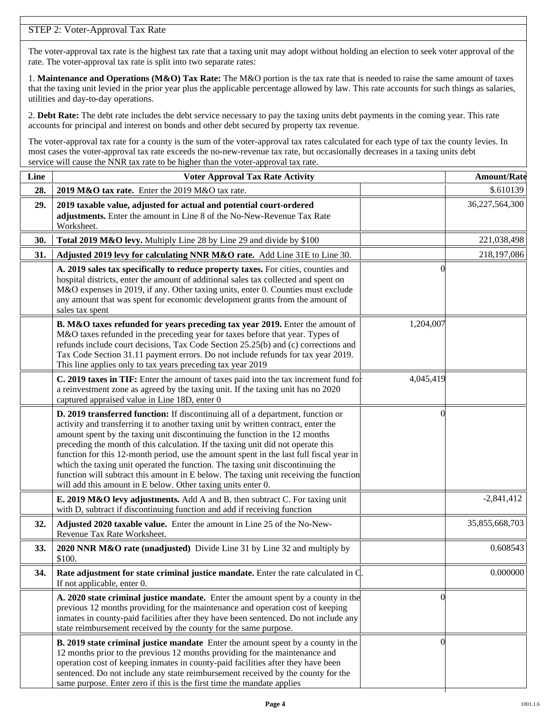# STEP 2: Voter-Approval Tax Rate

The voter-approval tax rate is the highest tax rate that a taxing unit may adopt without holding an election to seek voter approval of the rate. The voter-approval tax rate is split into two separate rates:

1. **Maintenance and Operations (M&O) Tax Rate:** The M&O portion is the tax rate that is needed to raise the same amount of taxes that the taxing unit levied in the prior year plus the applicable percentage allowed by law. This rate accounts for such things as salaries, utilities and day-to-day operations.

2. **Debt Rate:** The debt rate includes the debt service necessary to pay the taxing units debt payments in the coming year. This rate accounts for principal and interest on bonds and other debt secured by property tax revenue.

The voter-approval tax rate for a county is the sum of the voter-approval tax rates calculated for each type of tax the county levies. In most cases the voter-approval tax rate exceeds the no-new-revenue tax rate, but occasionally decreases in a taxing units debt service will cause the NNR tax rate to be higher than the voter-approval tax rate.

| Line | <b>Voter Approval Tax Rate Activity</b>                                                                                                                                                                                                                                                                                                                                                                                                                                                                                                                                                                                                                                        |           | <b>Amount/Rate</b> |
|------|--------------------------------------------------------------------------------------------------------------------------------------------------------------------------------------------------------------------------------------------------------------------------------------------------------------------------------------------------------------------------------------------------------------------------------------------------------------------------------------------------------------------------------------------------------------------------------------------------------------------------------------------------------------------------------|-----------|--------------------|
| 28.  | 2019 M&O tax rate. Enter the 2019 M&O tax rate.                                                                                                                                                                                                                                                                                                                                                                                                                                                                                                                                                                                                                                |           | \$.610139          |
| 29.  | 2019 taxable value, adjusted for actual and potential court-ordered<br>adjustments. Enter the amount in Line 8 of the No-New-Revenue Tax Rate<br>Worksheet.                                                                                                                                                                                                                                                                                                                                                                                                                                                                                                                    |           | 36,227,564,300     |
| 30.  | Total 2019 M&O levy. Multiply Line 28 by Line 29 and divide by \$100                                                                                                                                                                                                                                                                                                                                                                                                                                                                                                                                                                                                           |           | 221,038,498        |
| 31.  | Adjusted 2019 levy for calculating NNR M&O rate. Add Line 31E to Line 30.                                                                                                                                                                                                                                                                                                                                                                                                                                                                                                                                                                                                      |           | 218,197,086        |
|      | A. 2019 sales tax specifically to reduce property taxes. For cities, counties and<br>hospital districts, enter the amount of additional sales tax collected and spent on<br>M&O expenses in 2019, if any. Other taxing units, enter 0. Counties must exclude<br>any amount that was spent for economic development grants from the amount of<br>sales tax spent                                                                                                                                                                                                                                                                                                                |           |                    |
|      | B. M&O taxes refunded for years preceding tax year 2019. Enter the amount of<br>M&O taxes refunded in the preceding year for taxes before that year. Types of<br>refunds include court decisions, Tax Code Section 25.25(b) and (c) corrections and<br>Tax Code Section 31.11 payment errors. Do not include refunds for tax year 2019.<br>This line applies only to tax years preceding tax year 2019                                                                                                                                                                                                                                                                         | 1,204,007 |                    |
|      | C. 2019 taxes in TIF: Enter the amount of taxes paid into the tax increment fund for<br>a reinvestment zone as agreed by the taxing unit. If the taxing unit has no 2020<br>captured appraised value in Line 18D, enter 0                                                                                                                                                                                                                                                                                                                                                                                                                                                      | 4,045,419 |                    |
|      | D. 2019 transferred function: If discontinuing all of a department, function or<br>activity and transferring it to another taxing unit by written contract, enter the<br>amount spent by the taxing unit discontinuing the function in the 12 months<br>preceding the month of this calculation. If the taxing unit did not operate this<br>function for this 12-month period, use the amount spent in the last full fiscal year in<br>which the taxing unit operated the function. The taxing unit discontinuing the<br>function will subtract this amount in E below. The taxing unit receiving the function<br>will add this amount in E below. Other taxing units enter 0. |           |                    |
|      | E. 2019 M&O levy adjustments. Add A and B, then subtract C. For taxing unit<br>with D, subtract if discontinuing function and add if receiving function                                                                                                                                                                                                                                                                                                                                                                                                                                                                                                                        |           | $-2,841,412$       |
| 32.  | Adjusted 2020 taxable value. Enter the amount in Line 25 of the No-New-<br>Revenue Tax Rate Worksheet.                                                                                                                                                                                                                                                                                                                                                                                                                                                                                                                                                                         |           | 35,855,668,703     |
| 33.  | 2020 NNR M&O rate (unadjusted) Divide Line 31 by Line 32 and multiply by<br>\$100.                                                                                                                                                                                                                                                                                                                                                                                                                                                                                                                                                                                             |           | 0.608543           |
| 34.  | Rate adjustment for state criminal justice mandate. Enter the rate calculated in C<br>If not applicable, enter 0.                                                                                                                                                                                                                                                                                                                                                                                                                                                                                                                                                              |           | 0.000000           |
|      | A. 2020 state criminal justice mandate. Enter the amount spent by a county in the<br>previous 12 months providing for the maintenance and operation cost of keeping<br>inmates in county-paid facilities after they have been sentenced. Do not include any<br>state reimbursement received by the county for the same purpose.                                                                                                                                                                                                                                                                                                                                                |           |                    |
|      | B. 2019 state criminal justice mandate Enter the amount spent by a county in the<br>12 months prior to the previous 12 months providing for the maintenance and<br>operation cost of keeping inmates in county-paid facilities after they have been<br>sentenced. Do not include any state reimbursement received by the county for the<br>same purpose. Enter zero if this is the first time the mandate applies                                                                                                                                                                                                                                                              | $\theta$  |                    |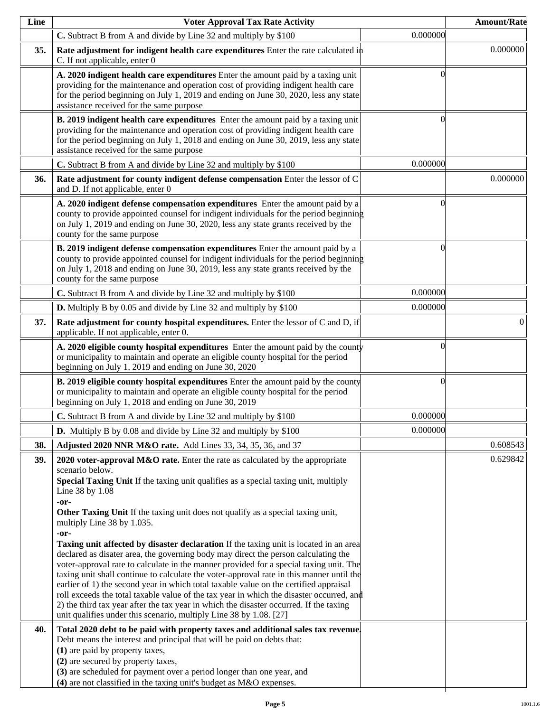| Line | <b>Voter Approval Tax Rate Activity</b>                                                                                                                                                                                                                                                                                                                                                                                                                                                                                                                                                                                                                                                                                          |                | <b>Amount/Rate</b> |
|------|----------------------------------------------------------------------------------------------------------------------------------------------------------------------------------------------------------------------------------------------------------------------------------------------------------------------------------------------------------------------------------------------------------------------------------------------------------------------------------------------------------------------------------------------------------------------------------------------------------------------------------------------------------------------------------------------------------------------------------|----------------|--------------------|
|      | C. Subtract B from A and divide by Line 32 and multiply by \$100                                                                                                                                                                                                                                                                                                                                                                                                                                                                                                                                                                                                                                                                 | 0.000000       |                    |
| 35.  | Rate adjustment for indigent health care expenditures Enter the rate calculated in<br>C. If not applicable, enter 0                                                                                                                                                                                                                                                                                                                                                                                                                                                                                                                                                                                                              |                | 0.000000           |
|      | A. 2020 indigent health care expenditures Enter the amount paid by a taxing unit<br>providing for the maintenance and operation cost of providing indigent health care<br>for the period beginning on July 1, 2019 and ending on June 30, 2020, less any state<br>assistance received for the same purpose                                                                                                                                                                                                                                                                                                                                                                                                                       | $\Omega$       |                    |
|      | <b>B. 2019 indigent health care expenditures</b> Enter the amount paid by a taxing unit<br>providing for the maintenance and operation cost of providing indigent health care<br>for the period beginning on July 1, 2018 and ending on June 30, 2019, less any state<br>assistance received for the same purpose                                                                                                                                                                                                                                                                                                                                                                                                                | $\Omega$       |                    |
|      | C. Subtract B from A and divide by Line 32 and multiply by \$100                                                                                                                                                                                                                                                                                                                                                                                                                                                                                                                                                                                                                                                                 | 0.000000       |                    |
| 36.  | Rate adjustment for county indigent defense compensation Enter the lessor of C<br>and D. If not applicable, enter 0                                                                                                                                                                                                                                                                                                                                                                                                                                                                                                                                                                                                              |                | 0.000000           |
|      | A. 2020 indigent defense compensation expenditures Enter the amount paid by a<br>county to provide appointed counsel for indigent individuals for the period beginning<br>on July 1, 2019 and ending on June 30, 2020, less any state grants received by the<br>county for the same purpose                                                                                                                                                                                                                                                                                                                                                                                                                                      | $\theta$       |                    |
|      | B. 2019 indigent defense compensation expenditures Enter the amount paid by a<br>county to provide appointed counsel for indigent individuals for the period beginning<br>on July 1, 2018 and ending on June 30, 2019, less any state grants received by the<br>county for the same purpose                                                                                                                                                                                                                                                                                                                                                                                                                                      | $\Omega$       |                    |
|      | C. Subtract B from A and divide by Line 32 and multiply by \$100                                                                                                                                                                                                                                                                                                                                                                                                                                                                                                                                                                                                                                                                 | 0.000000       |                    |
|      | <b>D.</b> Multiply B by 0.05 and divide by Line 32 and multiply by \$100                                                                                                                                                                                                                                                                                                                                                                                                                                                                                                                                                                                                                                                         | 0.000000       |                    |
| 37.  | Rate adjustment for county hospital expenditures. Enter the lessor of C and D, if<br>applicable. If not applicable, enter 0.                                                                                                                                                                                                                                                                                                                                                                                                                                                                                                                                                                                                     |                | $\overline{0}$     |
|      | A. 2020 eligible county hospital expenditures Enter the amount paid by the county<br>or municipality to maintain and operate an eligible county hospital for the period<br>beginning on July 1, 2019 and ending on June 30, 2020                                                                                                                                                                                                                                                                                                                                                                                                                                                                                                 | $\overline{0}$ |                    |
|      | B. 2019 eligible county hospital expenditures Enter the amount paid by the county<br>or municipality to maintain and operate an eligible county hospital for the period<br>beginning on July 1, 2018 and ending on June 30, 2019                                                                                                                                                                                                                                                                                                                                                                                                                                                                                                 | $\overline{0}$ |                    |
|      | C. Subtract B from A and divide by Line 32 and multiply by \$100                                                                                                                                                                                                                                                                                                                                                                                                                                                                                                                                                                                                                                                                 | 0.000000       |                    |
|      | <b>D.</b> Multiply B by 0.08 and divide by Line 32 and multiply by \$100                                                                                                                                                                                                                                                                                                                                                                                                                                                                                                                                                                                                                                                         | 0.000000       |                    |
| 38.  | Adjusted 2020 NNR M&O rate. Add Lines 33, 34, 35, 36, and 37                                                                                                                                                                                                                                                                                                                                                                                                                                                                                                                                                                                                                                                                     |                | 0.608543           |
| 39.  | 2020 voter-approval $M&O$ rate. Enter the rate as calculated by the appropriate<br>scenario below.<br>Special Taxing Unit If the taxing unit qualifies as a special taxing unit, multiply<br>Line 38 by 1.08<br>$-0r-$<br>Other Taxing Unit If the taxing unit does not qualify as a special taxing unit,<br>multiply Line 38 by 1.035.                                                                                                                                                                                                                                                                                                                                                                                          |                | 0.629842           |
|      | $-0r-$<br>Taxing unit affected by disaster declaration If the taxing unit is located in an area<br>declared as disater area, the governing body may direct the person calculating the<br>voter-approval rate to calculate in the manner provided for a special taxing unit. The<br>taxing unit shall continue to calculate the voter-approval rate in this manner until the<br>earlier of 1) the second year in which total taxable value on the certified appraisal<br>roll exceeds the total taxable value of the tax year in which the disaster occurred, and<br>2) the third tax year after the tax year in which the disaster occurred. If the taxing<br>unit qualifies under this scenario, multiply Line 38 by 1.08. [27] |                |                    |
| 40.  | Total 2020 debt to be paid with property taxes and additional sales tax revenue.<br>Debt means the interest and principal that will be paid on debts that:<br>(1) are paid by property taxes,<br>(2) are secured by property taxes,<br>(3) are scheduled for payment over a period longer than one year, and<br>(4) are not classified in the taxing unit's budget as M&O expenses.                                                                                                                                                                                                                                                                                                                                              |                |                    |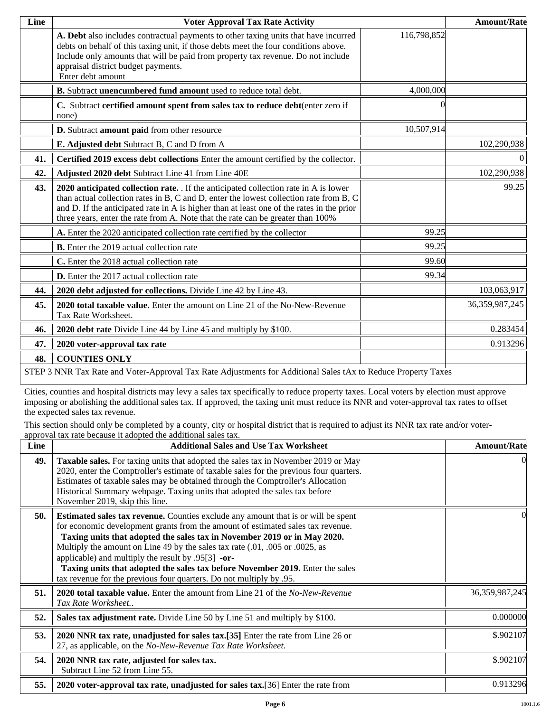| Line | <b>Voter Approval Tax Rate Activity</b>                                                                                                                                                                                                                                                                                                                      |             | <b>Amount/Rate</b> |  |
|------|--------------------------------------------------------------------------------------------------------------------------------------------------------------------------------------------------------------------------------------------------------------------------------------------------------------------------------------------------------------|-------------|--------------------|--|
|      | A. Debt also includes contractual payments to other taxing units that have incurred<br>debts on behalf of this taxing unit, if those debts meet the four conditions above.<br>Include only amounts that will be paid from property tax revenue. Do not include<br>appraisal district budget payments.<br>Enter debt amount                                   | 116,798,852 |                    |  |
|      | B. Subtract unencumbered fund amount used to reduce total debt.                                                                                                                                                                                                                                                                                              | 4,000,000   |                    |  |
|      | C. Subtract certified amount spent from sales tax to reduce debt(enter zero if<br>none)                                                                                                                                                                                                                                                                      |             |                    |  |
|      | D. Subtract amount paid from other resource                                                                                                                                                                                                                                                                                                                  | 10,507,914  |                    |  |
|      | E. Adjusted debt Subtract B, C and D from A                                                                                                                                                                                                                                                                                                                  |             | 102,290,938        |  |
| 41.  | Certified 2019 excess debt collections Enter the amount certified by the collector.                                                                                                                                                                                                                                                                          |             | $\Omega$           |  |
| 42.  | Adjusted 2020 debt Subtract Line 41 from Line 40E                                                                                                                                                                                                                                                                                                            |             | 102,290,938        |  |
| 43.  | 2020 anticipated collection rate. If the anticipated collection rate in A is lower<br>than actual collection rates in B, C and D, enter the lowest collection rate from B, C<br>and D. If the anticipated rate in A is higher than at least one of the rates in the prior<br>three years, enter the rate from A. Note that the rate can be greater than 100% |             | 99.25              |  |
|      | A. Enter the 2020 anticipated collection rate certified by the collector                                                                                                                                                                                                                                                                                     | 99.25       |                    |  |
|      | <b>B.</b> Enter the 2019 actual collection rate                                                                                                                                                                                                                                                                                                              | 99.25       |                    |  |
|      | C. Enter the 2018 actual collection rate                                                                                                                                                                                                                                                                                                                     | 99.60       |                    |  |
|      | <b>D.</b> Enter the 2017 actual collection rate                                                                                                                                                                                                                                                                                                              | 99.34       |                    |  |
| 44.  | 2020 debt adjusted for collections. Divide Line 42 by Line 43.                                                                                                                                                                                                                                                                                               |             | 103,063,917        |  |
| 45.  | 2020 total taxable value. Enter the amount on Line 21 of the No-New-Revenue<br>Tax Rate Worksheet.                                                                                                                                                                                                                                                           |             | 36,359,987,245     |  |
| 46.  | 2020 debt rate Divide Line 44 by Line 45 and multiply by \$100.                                                                                                                                                                                                                                                                                              |             | 0.283454           |  |
| 47.  | 2020 voter-approval tax rate                                                                                                                                                                                                                                                                                                                                 |             | 0.913296           |  |
| 48.  | <b>COUNTIES ONLY</b>                                                                                                                                                                                                                                                                                                                                         |             |                    |  |
|      | STEP 3 NNR Tax Rate and Voter-Approval Tax Rate Adjustments for Additional Sales tAx to Reduce Property Taxes                                                                                                                                                                                                                                                |             |                    |  |

Cities, counties and hospital districts may levy a sales tax specifically to reduce property taxes. Local voters by election must approve imposing or abolishing the additional sales tax. If approved, the taxing unit must reduce its NNR and voter-approval tax rates to offset the expected sales tax revenue.

This section should only be completed by a county, city or hospital district that is required to adjust its NNR tax rate and/or voterapproval tax rate because it adopted the additional sales tax.

| Line | <b>Additional Sales and Use Tax Worksheet</b>                                                                                                                                                                                                                                                                                                                                                                                                                                                                                                           | <b>Amount/Rate</b> |
|------|---------------------------------------------------------------------------------------------------------------------------------------------------------------------------------------------------------------------------------------------------------------------------------------------------------------------------------------------------------------------------------------------------------------------------------------------------------------------------------------------------------------------------------------------------------|--------------------|
| 49.  | <b>Taxable sales.</b> For taxing units that adopted the sales tax in November 2019 or May<br>2020, enter the Comptroller's estimate of taxable sales for the previous four quarters.<br>Estimates of taxable sales may be obtained through the Comptroller's Allocation<br>Historical Summary webpage. Taxing units that adopted the sales tax before<br>November 2019, skip this line.                                                                                                                                                                 |                    |
| 50.  | <b>Estimated sales tax revenue.</b> Counties exclude any amount that is or will be spent<br>for economic development grants from the amount of estimated sales tax revenue.<br>Taxing units that adopted the sales tax in November 2019 or in May 2020.<br>Multiply the amount on Line 49 by the sales tax rate (.01, .005 or .0025, as<br>applicable) and multiply the result by $.95[3]$ -or-<br>Taxing units that adopted the sales tax before November 2019. Enter the sales<br>tax revenue for the previous four quarters. Do not multiply by .95. |                    |
| 51.  | <b>2020 total taxable value.</b> Enter the amount from Line 21 of the No-New-Revenue<br>Tax Rate Worksheet                                                                                                                                                                                                                                                                                                                                                                                                                                              | 36, 359, 987, 245  |
| 52.  | Sales tax adjustment rate. Divide Line 50 by Line 51 and multiply by \$100.                                                                                                                                                                                                                                                                                                                                                                                                                                                                             | 0.000000           |
| 53.  | 2020 NNR tax rate, unadjusted for sales tax.[35] Enter the rate from Line 26 or<br>27, as applicable, on the No-New-Revenue Tax Rate Worksheet.                                                                                                                                                                                                                                                                                                                                                                                                         | \$.902107          |
| 54.  | 2020 NNR tax rate, adjusted for sales tax.<br>Subtract Line 52 from Line 55.                                                                                                                                                                                                                                                                                                                                                                                                                                                                            | \$.902107          |
| 55.  | 2020 voter-approval tax rate, unadjusted for sales tax.[36] Enter the rate from                                                                                                                                                                                                                                                                                                                                                                                                                                                                         | 0.913296           |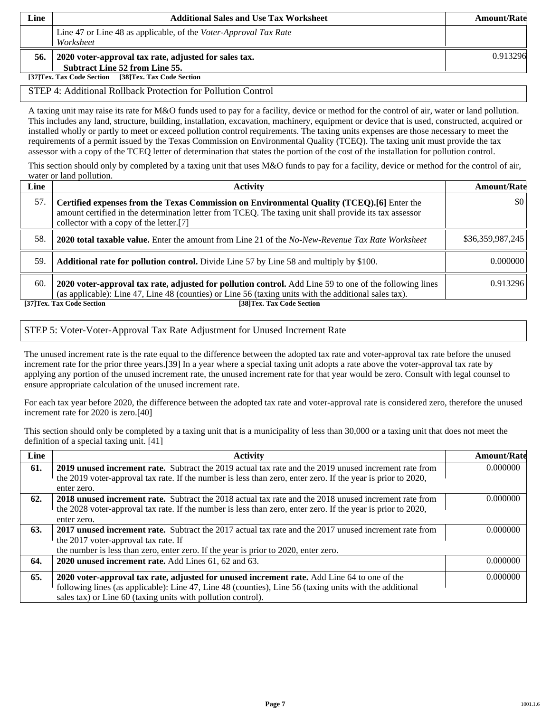| Line | <b>Additional Sales and Use Tax Worksheet</b>                                           | <b>Amount/Rate</b> |
|------|-----------------------------------------------------------------------------------------|--------------------|
|      | Line 47 or Line 48 as applicable, of the Voter-Approval Tax Rate<br>Worksheet           |                    |
| 56.  | 2020 voter-approval tax rate, adjusted for sales tax.<br>Subtract Line 52 from Line 55. | 0.913296           |
|      | [38]Tex. Tax Code Section<br>[37]Tex. Tax Code Section                                  |                    |

#### STEP 4: Additional Rollback Protection for Pollution Control

A taxing unit may raise its rate for M&O funds used to pay for a facility, device or method for the control of air, water or land pollution. This includes any land, structure, building, installation, excavation, machinery, equipment or device that is used, constructed, acquired or installed wholly or partly to meet or exceed pollution control requirements. The taxing units expenses are those necessary to meet the requirements of a permit issued by the Texas Commission on Environmental Quality (TCEQ). The taxing unit must provide the tax assessor with a copy of the TCEQ letter of determination that states the portion of the cost of the installation for pollution control.

This section should only by completed by a taxing unit that uses M&O funds to pay for a facility, device or method for the control of air, water or land pollution.

| Line | Activity                                                                                                                                                                                                                                        | <b>Amount/Rate</b> |
|------|-------------------------------------------------------------------------------------------------------------------------------------------------------------------------------------------------------------------------------------------------|--------------------|
| 57.  | Certified expenses from the Texas Commission on Environmental Quality (TCEQ).[6] Enter the<br>amount certified in the determination letter from TCEQ. The taxing unit shall provide its tax assessor<br>collector with a copy of the letter.[7] | \$0                |
| 58.  | <b>2020 total taxable value.</b> Enter the amount from Line 21 of the No-New-Revenue Tax Rate Worksheet                                                                                                                                         | \$36,359,987,245   |
| 59.  | <b>Additional rate for pollution control.</b> Divide Line 57 by Line 58 and multiply by \$100.                                                                                                                                                  | 0.000000           |
| 60.  | 2020 voter-approval tax rate, adjusted for pollution control. Add Line 59 to one of the following lines<br>(as applicable): Line 47, Line 48 (counties) or Line 56 (taxing units with the additional sales tax).                                | 0.913296           |
|      | [37] Tex. Tax Code Section<br>[38]Tex. Tax Code Section                                                                                                                                                                                         |                    |

### STEP 5: Voter-Voter-Approval Tax Rate Adjustment for Unused Increment Rate

The unused increment rate is the rate equal to the difference between the adopted tax rate and voter-approval tax rate before the unused increment rate for the prior three years.[39] In a year where a special taxing unit adopts a rate above the voter-approval tax rate by applying any portion of the unused increment rate, the unused increment rate for that year would be zero. Consult with legal counsel to ensure appropriate calculation of the unused increment rate.

For each tax year before 2020, the difference between the adopted tax rate and voter-approval rate is considered zero, therefore the unused increment rate for 2020 is zero.[40]

This section should only be completed by a taxing unit that is a municipality of less than 30,000 or a taxing unit that does not meet the definition of a special taxing unit. [41]

| Line | <b>Activity</b>                                                                                              | <b>Amount/Rate</b> |
|------|--------------------------------------------------------------------------------------------------------------|--------------------|
| 61.  | <b>2019 unused increment rate.</b> Subtract the 2019 actual tax rate and the 2019 unused increment rate from | 0.000000           |
|      | the 2019 voter-approval tax rate. If the number is less than zero, enter zero. If the year is prior to 2020, |                    |
|      | enter zero.                                                                                                  |                    |
| 62.  | <b>2018</b> unused increment rate. Subtract the 2018 actual tax rate and the 2018 unused increment rate from | 0.000000           |
|      | the 2028 voter-approval tax rate. If the number is less than zero, enter zero. If the year is prior to 2020, |                    |
|      | enter zero.                                                                                                  |                    |
| 63.  | <b>2017 unused increment rate.</b> Subtract the 2017 actual tax rate and the 2017 unused increment rate from | 0.000000           |
|      | the 2017 voter-approval tax rate. If                                                                         |                    |
|      | the number is less than zero, enter zero. If the year is prior to 2020, enter zero.                          |                    |
| 64.  | 2020 unused increment rate. Add Lines 61, 62 and 63.                                                         | 0.000000           |
| 65.  | 2020 voter-approval tax rate, adjusted for unused increment rate. Add Line 64 to one of the                  | 0.000000           |
|      | following lines (as applicable): Line 47, Line 48 (counties), Line 56 (taxing units with the additional      |                    |
|      | sales tax) or Line 60 (taxing units with pollution control).                                                 |                    |